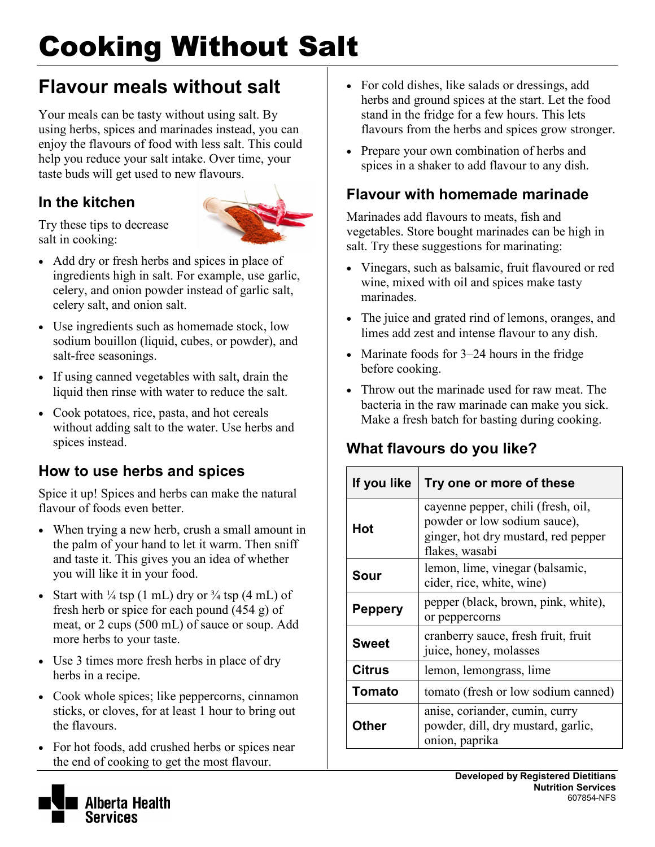# Cooking Without Salt

# **Flavour meals without salt**

Your meals can be tasty without using salt. By using herbs, spices and marinades instead, you can enjoy the flavours of food with less salt. This could help you reduce your salt intake. Over time, your taste buds will get used to new flavours.

### **In the kitchen**



Try these tips to decrease salt in cooking:

- Add dry or fresh herbs and spices in place of ingredients high in salt. For example, use garlic, celery, and onion powder instead of garlic salt, celery salt, and onion salt.
- Use ingredients such as homemade stock, low sodium bouillon (liquid, cubes, or powder), and salt-free seasonings.
- If using canned vegetables with salt, drain the liquid then rinse with water to reduce the salt.
- Cook potatoes, rice, pasta, and hot cereals without adding salt to the water. Use herbs and spices instead.

### **How to use herbs and spices**

Spice it up! Spices and herbs can make the natural flavour of foods even better.

- When trying a new herb, crush a small amount in the palm of your hand to let it warm. Then sniff and taste it. This gives you an idea of whether you will like it in your food.
- Start with  $\frac{1}{4}$  tsp (1 mL) dry or  $\frac{3}{4}$  tsp (4 mL) of fresh herb or spice for each pound (454 g) of meat, or 2 cups (500 mL) of sauce or soup. Add more herbs to your taste.
- Use 3 times more fresh herbs in place of dry herbs in a recipe.
- Cook whole spices; like peppercorns, cinnamon sticks, or cloves, for at least 1 hour to bring out the flavours.
- For hot foods, add crushed herbs or spices near the end of cooking to get the most flavour.
- For cold dishes, like salads or dressings, add herbs and ground spices at the start. Let the food stand in the fridge for a few hours. This lets flavours from the herbs and spices grow stronger.
- Prepare your own combination of herbs and spices in a shaker to add flavour to any dish.

### **Flavour with homemade marinade**

Marinades add flavours to meats, fish and vegetables. Store bought marinades can be high in salt. Try these suggestions for marinating:

- Vinegars, such as balsamic, fruit flavoured or red wine, mixed with oil and spices make tasty marinades.
- The juice and grated rind of lemons, oranges, and limes add zest and intense flavour to any dish.
- Marinate foods for 3–24 hours in the fridge before cooking.
- Throw out the marinade used for raw meat. The bacteria in the raw marinade can make you sick. Make a fresh batch for basting during cooking.

### **What flavours do you like?**

| If you like    | Try one or more of these                                                                                                    |
|----------------|-----------------------------------------------------------------------------------------------------------------------------|
| Hot            | cayenne pepper, chili (fresh, oil,<br>powder or low sodium sauce),<br>ginger, hot dry mustard, red pepper<br>flakes, wasabi |
| Sour           | lemon, lime, vinegar (balsamic,<br>cider, rice, white, wine)                                                                |
| <b>Peppery</b> | pepper (black, brown, pink, white),<br>or peppercorns                                                                       |
| <b>Sweet</b>   | cranberry sauce, fresh fruit, fruit<br>juice, honey, molasses                                                               |
| Citrus         | lemon, lemongrass, lime                                                                                                     |
| Tomato         | tomato (fresh or low sodium canned)                                                                                         |
| Other          | anise, coriander, cumin, curry<br>powder, dill, dry mustard, garlic,<br>onion, paprika                                      |